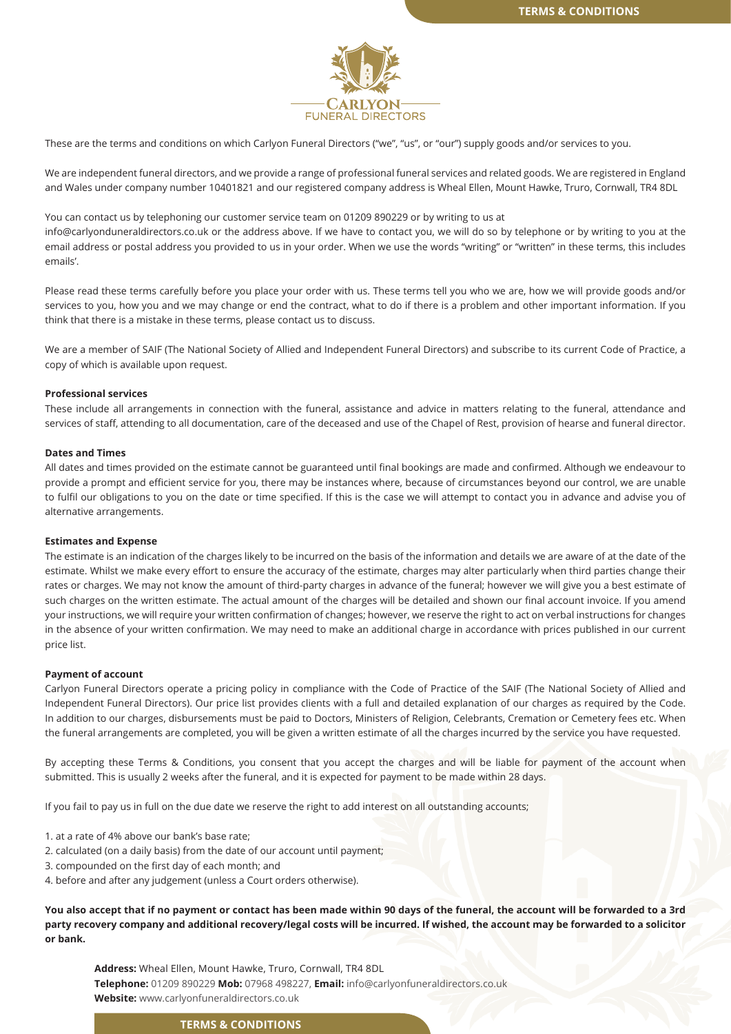

These are the terms and conditions on which Carlyon Funeral Directors ("we", "us", or "our") supply goods and/or services to you.

We are independent funeral directors, and we provide a range of professional funeral services and related goods. We are registered in England and Wales under company number 10401821 and our registered company address is Wheal Ellen, Mount Hawke, Truro, Cornwall, TR4 8DL

You can contact us by telephoning our customer service team on 01209 890229 or by writing to us at info@carlyonduneraldirectors.co.uk or the address above. If we have to contact you, we will do so by telephone or by writing to you at the email address or postal address you provided to us in your order. When we use the words "writing" or "written" in these terms, this includes emails'.

Please read these terms carefully before you place your order with us. These terms tell you who we are, how we will provide goods and/or services to you, how you and we may change or end the contract, what to do if there is a problem and other important information. If you think that there is a mistake in these terms, please contact us to discuss.

We are a member of SAIF (The National Society of Allied and Independent Funeral Directors) and subscribe to its current Code of Practice, a copy of which is available upon request.

#### **Professional services**

These include all arrangements in connection with the funeral, assistance and advice in matters relating to the funeral, attendance and services of staff, attending to all documentation, care of the deceased and use of the Chapel of Rest, provision of hearse and funeral director.

# **Dates and Times**

All dates and times provided on the estimate cannot be guaranteed until final bookings are made and confirmed. Although we endeavour to provide a prompt and efficient service for you, there may be instances where, because of circumstances beyond our control, we are unable to fulfil our obligations to you on the date or time specified. If this is the case we will attempt to contact you in advance and advise you of alternative arrangements.

#### **Estimates and Expense**

The estimate is an indication of the charges likely to be incurred on the basis of the information and details we are aware of at the date of the estimate. Whilst we make every effort to ensure the accuracy of the estimate, charges may alter particularly when third parties change their rates or charges. We may not know the amount of third-party charges in advance of the funeral; however we will give you a best estimate of such charges on the written estimate. The actual amount of the charges will be detailed and shown our final account invoice. If you amend your instructions, we will require your written confirmation of changes; however, we reserve the right to act on verbal instructions for changes in the absence of your written confirmation. We may need to make an additional charge in accordance with prices published in our current price list.

#### **Payment of account**

Carlyon Funeral Directors operate a pricing policy in compliance with the Code of Practice of the SAIF (The National Society of Allied and Independent Funeral Directors). Our price list provides clients with a full and detailed explanation of our charges as required by the Code. In addition to our charges, disbursements must be paid to Doctors, Ministers of Religion, Celebrants, Cremation or Cemetery fees etc. When the funeral arrangements are completed, you will be given a written estimate of all the charges incurred by the service you have requested.

By accepting these Terms & Conditions, you consent that you accept the charges and will be liable for payment of the account when submitted. This is usually 2 weeks after the funeral, and it is expected for payment to be made within 28 days.

If you fail to pay us in full on the due date we reserve the right to add interest on all outstanding accounts;

- 1. at a rate of 4% above our bank's base rate;
- 2. calculated (on a daily basis) from the date of our account until payment;
- 3. compounded on the first day of each month; and
- 4. before and after any judgement (unless a Court orders otherwise).

**You also accept that if no payment or contact has been made within 90 days of the funeral, the account will be forwarded to a 3rd party recovery company and additional recovery/legal costs will be incurred. If wished, the account may be forwarded to a solicitor or bank.**

**Address:** Wheal Ellen, Mount Hawke, Truro, Cornwall, TR4 8DL **Telephone:** 01209 890229 **Mob:** 07968 498227, **Email:** info@carlyonfuneraldirectors.co.uk **Website:** www.carlyonfuneraldirectors.co.uk

### **TERMS & CONDITIONS**